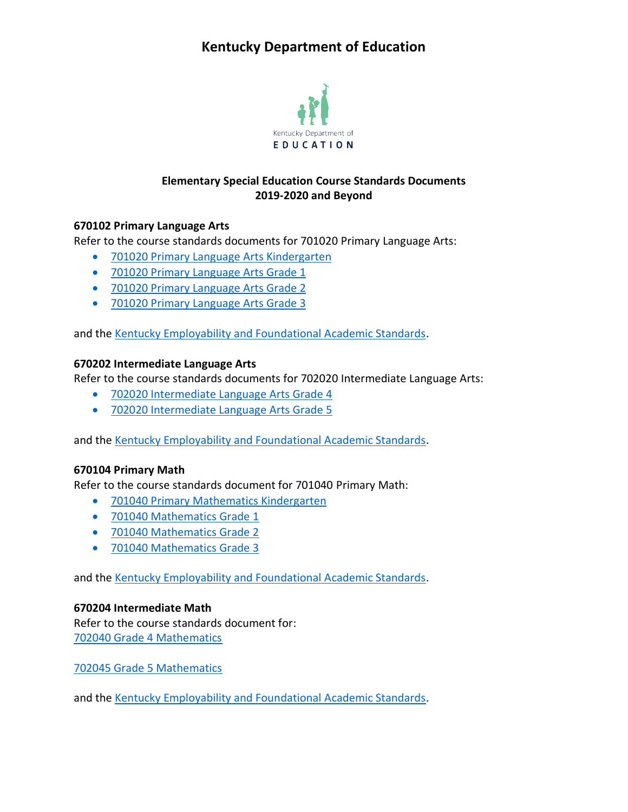# **Kentucky Department of Education**



# **Elementary Special Education Course Standards Documents 2019-2020 and Beyond**

## **670102 Primary Language Arts**

Refer to the course standards documents for 701020 Primary Language Arts:

- [701020 Primary Language Arts Kindergarten](https://education.ky.gov/curriculum/standards/kyacadstand/Documents/701020_Primary_Language_Arts_Kindergarten_2019.pdf)
- [701020 Primary Language Arts Grade 1](https://education.ky.gov/curriculum/standards/kyacadstand/Documents/701020_Primary_Language_Arts_Grade_1_2019.pdf)
- [701020 Primary Language Arts Grade 2](https://education.ky.gov/curriculum/standards/kyacadstand/Documents/701020_Primary_Language_Arts_Grade_2_2019.pdf)
- [701020 Primary Language Arts Grade 3](https://education.ky.gov/curriculum/standards/kyacadstand/Documents/701020_Primary_Language_Arts_Grade_3_2019.pdf)

and the [Kentucky Employability and Foundational Academic Standards.](https://education.ky.gov/curriculum/standards/kyacadstand/Documents/EFASAA_Standards.pdf)

#### **670202 Intermediate Language Arts**

Refer to the course standards documents for 702020 Intermediate Language Arts:

- [702020 Intermediate Language Arts Grade 4](https://education.ky.gov/curriculum/standards/kyacadstand/Documents/702020_Intermediate_Language_Arts_Grade_4_2019.pdf)
- [702020 Intermediate Language Arts Grade 5](https://education.ky.gov/curriculum/standards/kyacadstand/Documents/702020_Intermediate_Language_Arts_Grade_5_2019.pdf)

and the [Kentucky Employability and Foundational Academic Standards.](https://education.ky.gov/curriculum/standards/kyacadstand/Documents/EFASAA_Standards.pdf)

#### **670104 Primary Math**

Refer to the course standards document for 701040 Primary Math:

- [701040 Primary Mathematics Kindergarten](https://education.ky.gov/curriculum/standards/kyacadstand/Documents/701040_Primary_Mathematics_Kindergarten_2019.pdf)
- [701040 Mathematics Grade 1](https://education.ky.gov/curriculum/standards/kyacadstand/Documents/701040_Primary_Mathematics_Grade_1_2019.pdf)
- [701040 Mathematics Grade 2](https://education.ky.gov/curriculum/standards/kyacadstand/Documents/701040_Primary_Mathematics_Grade_2_2019.pdf)
- [701040 Mathematics Grade 3](https://education.ky.gov/curriculum/standards/kyacadstand/Documents/701040_Primary_Mathematics_Grade_3_2019.pdf)

and the [Kentucky Employability and Foundational Academic Standards.](https://education.ky.gov/curriculum/standards/kyacadstand/Documents/EFASAA_Standards.pdf)

#### **670204 Intermediate Math**

Refer to the course standards document for: [702040 Grade 4 Mathematics](https://education.ky.gov/curriculum/standards/kyacadstand/Documents/702040_Grade_4_Mathematics_2019.pdf)

[702045 Grade 5 Mathematics](https://education.ky.gov/curriculum/standards/kyacadstand/Documents/702045_Grade_5_Mathematics_2019.pdf)

and the [Kentucky Employability and Foundational Academic Standards.](https://education.ky.gov/curriculum/standards/kyacadstand/Documents/EFASAA_Standards.pdf)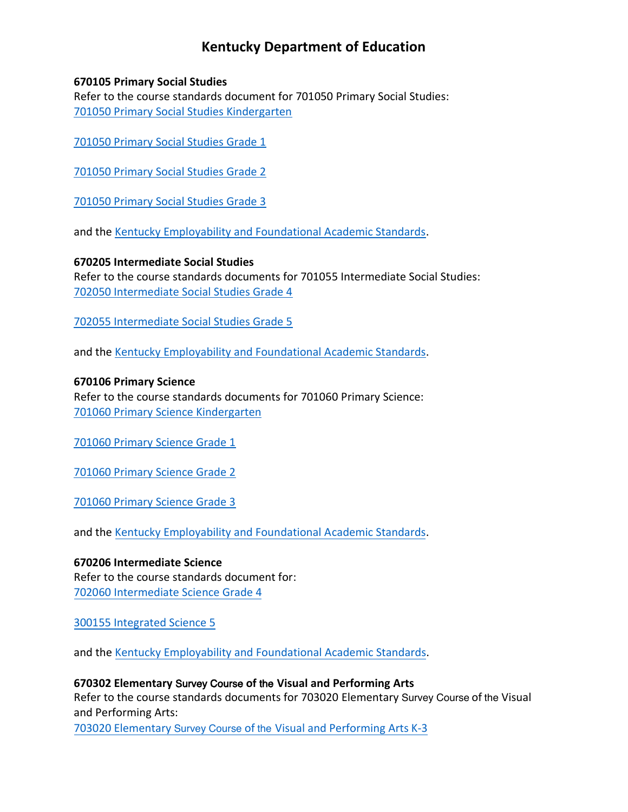# **Kentucky Department of Education**

#### **670105 Primary Social Studies**

Refer to the course standards document for 701050 Primary Social Studies: [701050 Primary Social Studies Kindergarten](https://education.ky.gov/curriculum/standards/kyacadstand/Documents/701050_Primary_Social_Studies_Kindergarten_2019.pdf)

[701050 Primary Social Studies Grade 1](https://education.ky.gov/curriculum/standards/kyacadstand/Documents/701050_Primary_Social_Studies_Grade_1_2019.pdf)

[701050 Primary Social Studies Grade 2](https://education.ky.gov/curriculum/standards/kyacadstand/Documents/701050_Primary_Social_Studies_Grade_2_2019.pdf)

[701050 Primary Social Studies Grade 3](https://education.ky.gov/curriculum/standards/kyacadstand/Documents/701050_Primary_Social_Studies_Grade_3_2019.pdf)

and the [Kentucky Employability and Foundational Academic Standards.](https://education.ky.gov/curriculum/standards/kyacadstand/Documents/EFASAA_Standards.pdf)

## **670205 Intermediate Social Studies**

Refer to the course standards documents for 701055 Intermediate Social Studies: [702050 Intermediate Social Studies Grade 4](https://education.ky.gov/curriculum/standards/kyacadstand/Documents/702050_Intermediate_Social_Studies_Grade_4_2019.pdf)

[702055 Intermediate Social Studies Grade 5](https://education.ky.gov/curriculum/standards/kyacadstand/Documents/702055_Intermediate_Social_Studies_Grade_5_2019.pdf)

and the [Kentucky Employability and Foundational Academic Standards.](https://education.ky.gov/curriculum/standards/kyacadstand/Documents/EFASAA_Standards.pdf)

#### **670106 Primary Science**

Refer to the course standards documents for 701060 Primary Science: [701060 Primary Science Kindergarten](https://education.ky.gov/curriculum/standards/kyacadstand/Documents/701060_Primary_Science_Kindergarten.pdf)

[701060 Primary Science Grade 1](https://education.ky.gov/curriculum/standards/kyacadstand/Documents/701060_Primary_Science_Grade_1.pdf)

[701060 Primary Science Grade 2](https://education.ky.gov/curriculum/standards/kyacadstand/Documents/701060_Primary_Science_Grade_2.pdf)

[701060 Primary Science Grade 3](https://education.ky.gov/curriculum/standards/kyacadstand/Documents/701060_Primary_Science_Grade_3.pdf)

and the [Kentucky Employability and Foundational Academic Standards.](https://education.ky.gov/curriculum/standards/kyacadstand/Documents/EFASAA_Standards.pdf)

**670206 Intermediate Science**  Refer to the course standards document for: [702060 Intermediate Science Grade 4](https://education.ky.gov/curriculum/standards/kyacadstand/Documents/702060_Intermediate_Science_Grade_4.pdf)

[300155 Integrated Science 5](https://education.ky.gov/curriculum/standards/kyacadstand/Documents/300155_Integrated_Science_5.pdf)

and the [Kentucky Employability and Foundational Academic Standards.](https://education.ky.gov/curriculum/standards/kyacadstand/Documents/EFASAA_Standards.pdf)

## **670302 Elementary** Survey Course **of** the **Visual and Performing Arts**

Refer to the course standards documents for 703020 Elementary Survey Course of the Visual and Performing Arts:

703020 Elementary Survey Course of the [Visual and Performing Arts K-3](https://education.ky.gov/curriculum/standards/kyacadstand/Documents/703020_Elementary_Survey_Course_of_the_Visual_and_Performing_Arts_K-3.pdf)